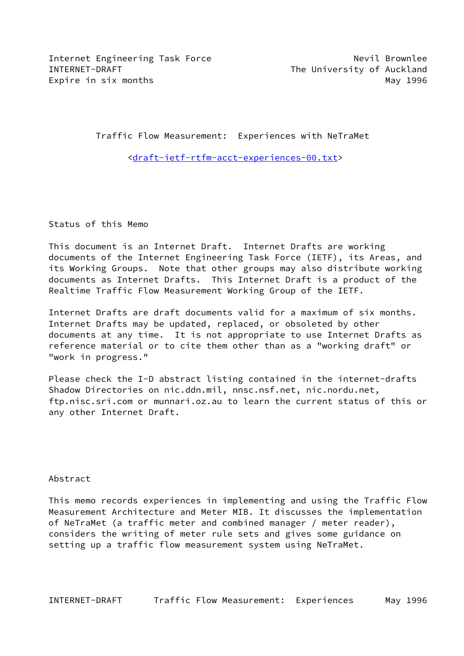Internet Engineering Task Force Nevil Brownlee INTERNET-DRAFT The University of Auckland Expire in six months **May 1996** 

Traffic Flow Measurement: Experiences with NeTraMet

[<draft-ietf-rtfm-acct-experiences-00.txt](https://datatracker.ietf.org/doc/pdf/draft-ietf-rtfm-acct-experiences-00.txt)>

Status of this Memo

This document is an Internet Draft. Internet Drafts are working documents of the Internet Engineering Task Force (IETF), its Areas, and its Working Groups. Note that other groups may also distribute working documents as Internet Drafts. This Internet Draft is a product of the Realtime Traffic Flow Measurement Working Group of the IETF.

Internet Drafts are draft documents valid for a maximum of six months. Internet Drafts may be updated, replaced, or obsoleted by other documents at any time. It is not appropriate to use Internet Drafts as reference material or to cite them other than as a "working draft" or "work in progress."

Please check the I-D abstract listing contained in the internet-drafts Shadow Directories on nic.ddn.mil, nnsc.nsf.net, nic.nordu.net, ftp.nisc.sri.com or munnari.oz.au to learn the current status of this or any other Internet Draft.

Abstract

This memo records experiences in implementing and using the Traffic Flow Measurement Architecture and Meter MIB. It discusses the implementation of NeTraMet (a traffic meter and combined manager / meter reader), considers the writing of meter rule sets and gives some guidance on setting up a traffic flow measurement system using NeTraMet.

INTERNET-DRAFT Traffic Flow Measurement: Experiences May 1996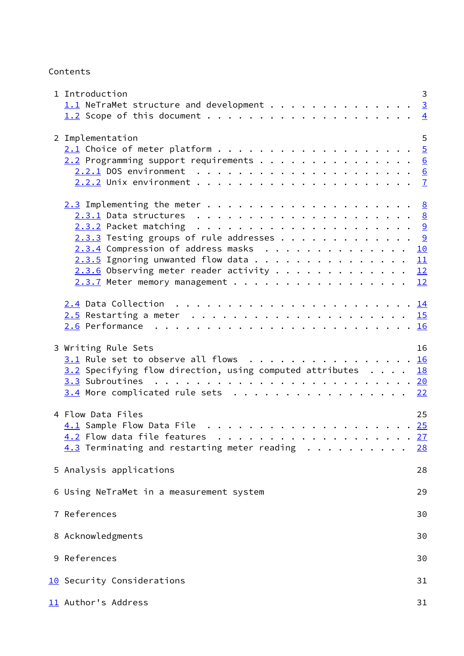Contents

<span id="page-1-1"></span><span id="page-1-0"></span>

| 1 Introduction                                                | 3              |
|---------------------------------------------------------------|----------------|
| $1.1$ NeTraMet structure and development 3                    |                |
|                                                               | $\overline{4}$ |
|                                                               |                |
| 2 Implementation                                              | 5              |
|                                                               |                |
| $2.2$ Programming support requirements 6                      |                |
|                                                               |                |
|                                                               |                |
|                                                               |                |
|                                                               |                |
|                                                               |                |
|                                                               |                |
| $2.3.3$ Testing groups of rule addresses 9                    |                |
| <u>2.3.4</u> Compression of address masks                     | 10             |
| $2.3.5$ Ignoring unwanted flow data                           | 11             |
| $2.3.6$ Observing meter reader activity 12                    |                |
| $2.3.7$ Meter memory management 12                            |                |
|                                                               |                |
|                                                               |                |
|                                                               |                |
|                                                               |                |
|                                                               |                |
| 3 Writing Rule Sets                                           | 16             |
| 3.1 Rule set to observe all flows 16                          |                |
| $3.2$ Specifying flow direction, using computed attributes 18 |                |
|                                                               |                |
|                                                               |                |
| $3.4$ More complicated rule sets 22                           |                |
| 4 Flow Data Files                                             | 25             |
|                                                               |                |
|                                                               |                |
|                                                               | 27             |
| $4.3$ Terminating and restarting meter reading                | <u>28</u>      |
| 5 Analysis applications                                       | 28             |
|                                                               |                |
| 6 Using NeTraMet in a measurement system                      | 29             |
|                                                               |                |
| 7 References                                                  | 30             |
| 8 Acknowledgments                                             | 30             |
|                                                               |                |
| 9 References                                                  | 30             |
|                                                               |                |
| 10 Security Considerations                                    | 31             |
| 11 Author's Address                                           | 31             |
|                                                               |                |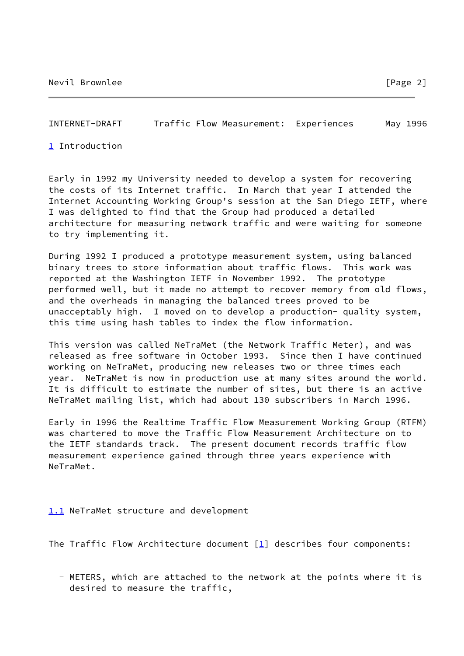<span id="page-2-1"></span>INTERNET-DRAFT Traffic Flow Measurement: Experiences May 1996

<span id="page-2-2"></span>[1](#page-2-2) Introduction

Early in 1992 my University needed to develop a system for recovering the costs of its Internet traffic. In March that year I attended the Internet Accounting Working Group's session at the San Diego IETF, where I was delighted to find that the Group had produced a detailed architecture for measuring network traffic and were waiting for someone to try implementing it.

During 1992 I produced a prototype measurement system, using balanced binary trees to store information about traffic flows. This work was reported at the Washington IETF in November 1992. The prototype performed well, but it made no attempt to recover memory from old flows, and the overheads in managing the balanced trees proved to be unacceptably high. I moved on to develop a production- quality system, this time using hash tables to index the flow information.

This version was called NeTraMet (the Network Traffic Meter), and was released as free software in October 1993. Since then I have continued working on NeTraMet, producing new releases two or three times each year. NeTraMet is now in production use at many sites around the world. It is difficult to estimate the number of sites, but there is an active NeTraMet mailing list, which had about 130 subscribers in March 1996.

Early in 1996 the Realtime Traffic Flow Measurement Working Group (RTFM) was chartered to move the Traffic Flow Measurement Architecture on to the IETF standards track. The present document records traffic flow measurement experience gained through three years experience with NeTraMet.

<span id="page-2-0"></span>[1.1](#page-2-0) NeTraMet structure and development

The Traffic Flow Architecture document  $[1]$  $[1]$  describes four components:

 - METERS, which are attached to the network at the points where it is desired to measure the traffic,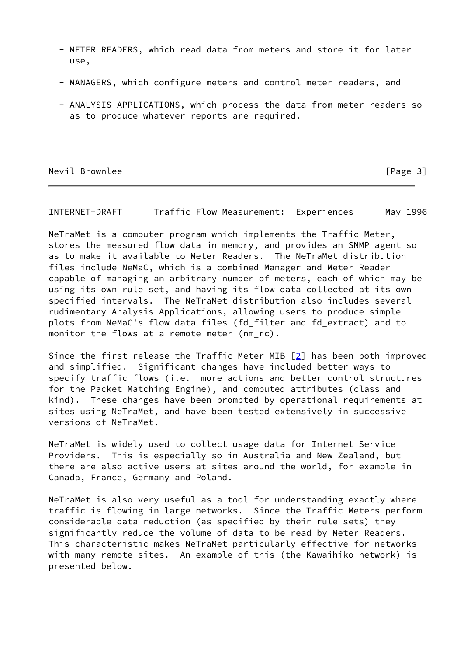- METER READERS, which read data from meters and store it for later use,
- MANAGERS, which configure meters and control meter readers, and
- ANALYSIS APPLICATIONS, which process the data from meter readers so as to produce whatever reports are required.

Nevil Brownlee [Page 3]

<span id="page-3-0"></span>INTERNET-DRAFT Traffic Flow Measurement: Experiences May 1996

NeTraMet is a computer program which implements the Traffic Meter, stores the measured flow data in memory, and provides an SNMP agent so as to make it available to Meter Readers. The NeTraMet distribution files include NeMaC, which is a combined Manager and Meter Reader capable of managing an arbitrary number of meters, each of which may be using its own rule set, and having its flow data collected at its own specified intervals. The NeTraMet distribution also includes several rudimentary Analysis Applications, allowing users to produce simple plots from NeMaC's flow data files (fd\_filter and fd\_extract) and to monitor the flows at a remote meter (nm\_rc).

Since the first release the Traffic Meter MIB [[2\]](#page-34-1) has been both improved and simplified. Significant changes have included better ways to specify traffic flows (i.e. more actions and better control structures for the Packet Matching Engine), and computed attributes (class and kind). These changes have been prompted by operational requirements at sites using NeTraMet, and have been tested extensively in successive versions of NeTraMet.

NeTraMet is widely used to collect usage data for Internet Service Providers. This is especially so in Australia and New Zealand, but there are also active users at sites around the world, for example in Canada, France, Germany and Poland.

NeTraMet is also very useful as a tool for understanding exactly where traffic is flowing in large networks. Since the Traffic Meters perform considerable data reduction (as specified by their rule sets) they significantly reduce the volume of data to be read by Meter Readers. This characteristic makes NeTraMet particularly effective for networks with many remote sites. An example of this (the Kawaihiko network) is presented below.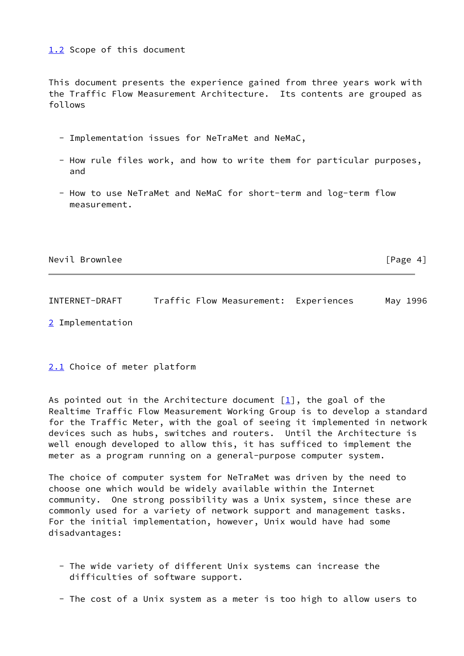## <span id="page-4-0"></span>[1.2](#page-4-0) Scope of this document

This document presents the experience gained from three years work with the Traffic Flow Measurement Architecture. Its contents are grouped as follows

- Implementation issues for NeTraMet and NeMaC,
- How rule files work, and how to write them for particular purposes, and
- How to use NeTraMet and NeMaC for short-term and log-term flow measurement.

| Nevil Brownlee | [Page $4$ ] |
|----------------|-------------|
|----------------|-------------|

<span id="page-4-2"></span>INTERNET-DRAFT Traffic Flow Measurement: Experiences May 1996

<span id="page-4-3"></span>[2](#page-4-3) Implementation

### <span id="page-4-1"></span>[2.1](#page-4-1) Choice of meter platform

As pointed out in the Architecture document  $[1]$ , the goal of the Realtime Traffic Flow Measurement Working Group is to develop a standard for the Traffic Meter, with the goal of seeing it implemented in network devices such as hubs, switches and routers. Until the Architecture is well enough developed to allow this, it has sufficed to implement the meter as a program running on a general-purpose computer system.

The choice of computer system for NeTraMet was driven by the need to choose one which would be widely available within the Internet community. One strong possibility was a Unix system, since these are commonly used for a variety of network support and management tasks. For the initial implementation, however, Unix would have had some disadvantages:

- The wide variety of different Unix systems can increase the difficulties of software support.
- The cost of a Unix system as a meter is too high to allow users to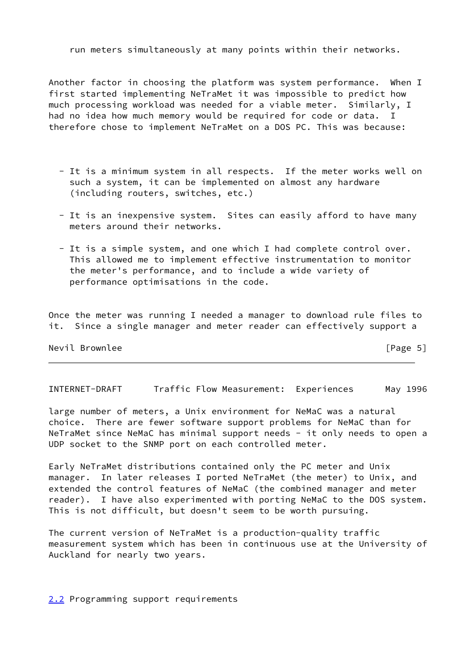run meters simultaneously at many points within their networks.

Another factor in choosing the platform was system performance. When I first started implementing NeTraMet it was impossible to predict how much processing workload was needed for a viable meter. Similarly, I had no idea how much memory would be required for code or data. I therefore chose to implement NeTraMet on a DOS PC. This was because:

- It is a minimum system in all respects. If the meter works well on such a system, it can be implemented on almost any hardware (including routers, switches, etc.)
- It is an inexpensive system. Sites can easily afford to have many meters around their networks.
- It is a simple system, and one which I had complete control over. This allowed me to implement effective instrumentation to monitor the meter's performance, and to include a wide variety of performance optimisations in the code.

Once the meter was running I needed a manager to download rule files to it. Since a single manager and meter reader can effectively support a

Nevil Brownlee [Page 5]

<span id="page-5-1"></span>INTERNET-DRAFT Traffic Flow Measurement: Experiences May 1996

large number of meters, a Unix environment for NeMaC was a natural choice. There are fewer software support problems for NeMaC than for NeTraMet since NeMaC has minimal support needs - it only needs to open a UDP socket to the SNMP port on each controlled meter.

Early NeTraMet distributions contained only the PC meter and Unix manager. In later releases I ported NeTraMet (the meter) to Unix, and extended the control features of NeMaC (the combined manager and meter reader). I have also experimented with porting NeMaC to the DOS system. This is not difficult, but doesn't seem to be worth pursuing.

The current version of NeTraMet is a production-quality traffic measurement system which has been in continuous use at the University of Auckland for nearly two years.

<span id="page-5-0"></span>[2.2](#page-5-0) Programming support requirements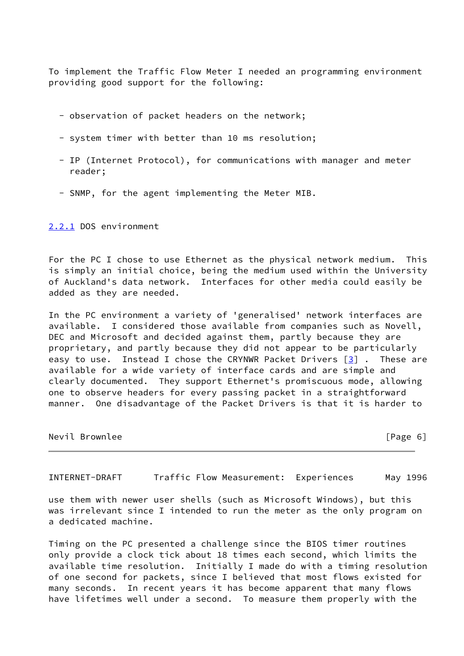To implement the Traffic Flow Meter I needed an programming environment providing good support for the following:

- observation of packet headers on the network;
- system timer with better than 10 ms resolution;
- IP (Internet Protocol), for communications with manager and meter reader;
- SNMP, for the agent implementing the Meter MIB.

#### <span id="page-6-0"></span>[2.2.1](#page-6-0) DOS environment

For the PC I chose to use Ethernet as the physical network medium. This is simply an initial choice, being the medium used within the University of Auckland's data network. Interfaces for other media could easily be added as they are needed.

In the PC environment a variety of 'generalised' network interfaces are available. I considered those available from companies such as Novell, DEC and Microsoft and decided against them, partly because they are proprietary, and partly because they did not appear to be particularly easy to use. Instead I chose the CRYNWR Packet Drivers  $\begin{bmatrix} 3 \end{bmatrix}$ . These are available for a wide variety of interface cards and are simple and clearly documented. They support Ethernet's promiscuous mode, allowing one to observe headers for every passing packet in a straightforward manner. One disadvantage of the Packet Drivers is that it is harder to

| Nevil Brownlee | [Page 6] |
|----------------|----------|
|                |          |

<span id="page-6-1"></span>INTERNET-DRAFT Traffic Flow Measurement: Experiences May 1996

use them with newer user shells (such as Microsoft Windows), but this was irrelevant since I intended to run the meter as the only program on a dedicated machine.

Timing on the PC presented a challenge since the BIOS timer routines only provide a clock tick about 18 times each second, which limits the available time resolution. Initially I made do with a timing resolution of one second for packets, since I believed that most flows existed for many seconds. In recent years it has become apparent that many flows have lifetimes well under a second. To measure them properly with the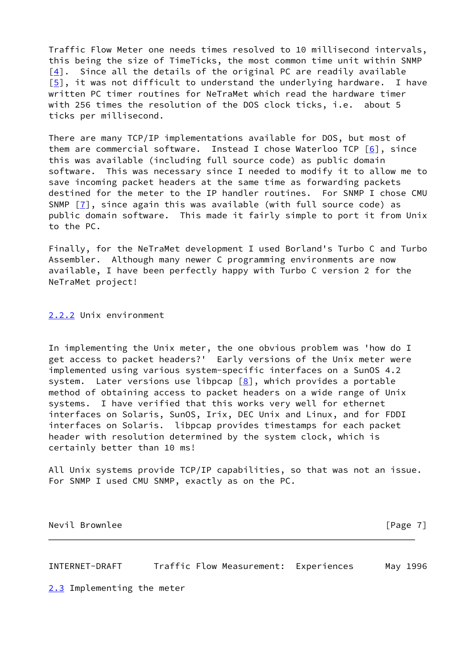Traffic Flow Meter one needs times resolved to 10 millisecond intervals, this being the size of TimeTicks, the most common time unit within SNMP [\[4\]](#page-34-3). Since all the details of the original PC are readily available [\[5\]](#page-34-4), it was not difficult to understand the underlying hardware. I have written PC timer routines for NeTraMet which read the hardware timer with 256 times the resolution of the DOS clock ticks, i.e. about 5 ticks per millisecond.

There are many TCP/IP implementations available for DOS, but most of them are commercial software. Instead I chose Waterloo TCP  $[6]$ , since this was available (including full source code) as public domain software. This was necessary since I needed to modify it to allow me to save incoming packet headers at the same time as forwarding packets destined for the meter to the IP handler routines. For SNMP I chose CMU SNMP  $[7]$  $[7]$ , since again this was available (with full source code) as public domain software. This made it fairly simple to port it from Unix to the PC.

Finally, for the NeTraMet development I used Borland's Turbo C and Turbo Assembler. Although many newer C programming environments are now available, I have been perfectly happy with Turbo C version 2 for the NeTraMet project!

<span id="page-7-0"></span>[2.2.2](#page-7-0) Unix environment

In implementing the Unix meter, the one obvious problem was 'how do I get access to packet headers?' Early versions of the Unix meter were implemented using various system-specific interfaces on a SunOS 4.2 system. Later versions use libpcap  $[8]$ , which provides a portable method of obtaining access to packet headers on a wide range of Unix systems. I have verified that this works very well for ethernet interfaces on Solaris, SunOS, Irix, DEC Unix and Linux, and for FDDI interfaces on Solaris. libpcap provides timestamps for each packet header with resolution determined by the system clock, which is certainly better than 10 ms!

All Unix systems provide TCP/IP capabilities, so that was not an issue. For SNMP I used CMU SNMP, exactly as on the PC.

Nevil Brownlee [Page 7]

<span id="page-7-2"></span>INTERNET-DRAFT Traffic Flow Measurement: Experiences May 1996

<span id="page-7-1"></span>[2.3](#page-7-1) Implementing the meter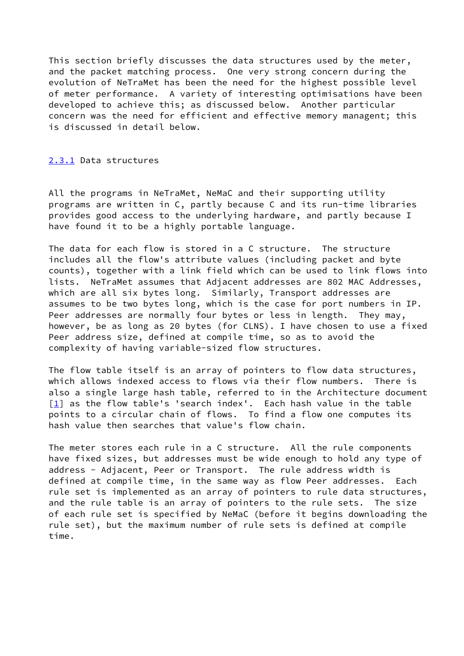This section briefly discusses the data structures used by the meter, and the packet matching process. One very strong concern during the evolution of NeTraMet has been the need for the highest possible level of meter performance. A variety of interesting optimisations have been developed to achieve this; as discussed below. Another particular concern was the need for efficient and effective memory managent; this is discussed in detail below.

#### <span id="page-8-0"></span>[2.3.1](#page-8-0) Data structures

All the programs in NeTraMet, NeMaC and their supporting utility programs are written in C, partly because C and its run-time libraries provides good access to the underlying hardware, and partly because I have found it to be a highly portable language.

The data for each flow is stored in a C structure. The structure includes all the flow's attribute values (including packet and byte counts), together with a link field which can be used to link flows into lists. NeTraMet assumes that Adjacent addresses are 802 MAC Addresses, which are all six bytes long. Similarly, Transport addresses are assumes to be two bytes long, which is the case for port numbers in IP. Peer addresses are normally four bytes or less in length. They may, however, be as long as 20 bytes (for CLNS). I have chosen to use a fixed Peer address size, defined at compile time, so as to avoid the complexity of having variable-sized flow structures.

The flow table itself is an array of pointers to flow data structures, which allows indexed access to flows via their flow numbers. There is also a single large hash table, referred to in the Architecture document  $[1]$  as the flow table's 'search index'. Each hash value in the table points to a circular chain of flows. To find a flow one computes its hash value then searches that value's flow chain.

The meter stores each rule in a C structure. All the rule components have fixed sizes, but addresses must be wide enough to hold any type of address - Adjacent, Peer or Transport. The rule address width is defined at compile time, in the same way as flow Peer addresses. Each rule set is implemented as an array of pointers to rule data structures, and the rule table is an array of pointers to the rule sets. The size of each rule set is specified by NeMaC (before it begins downloading the rule set), but the maximum number of rule sets is defined at compile time.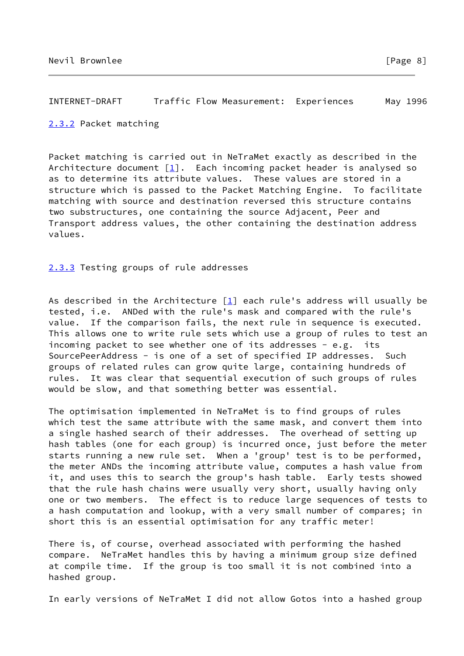### <span id="page-9-1"></span>INTERNET-DRAFT Traffic Flow Measurement: Experiences May 1996

#### <span id="page-9-0"></span>[2.3.2](#page-9-0) Packet matching

Packet matching is carried out in NeTraMet exactly as described in the Architecture document [[1\]](#page-34-0). Each incoming packet header is analysed so as to determine its attribute values. These values are stored in a structure which is passed to the Packet Matching Engine. To facilitate matching with source and destination reversed this structure contains two substructures, one containing the source Adjacent, Peer and Transport address values, the other containing the destination address values.

## <span id="page-9-2"></span>[2.3.3](#page-9-2) Testing groups of rule addresses

As described in the Architecture  $[1]$  $[1]$  each rule's address will usually be tested, i.e. ANDed with the rule's mask and compared with the rule's value. If the comparison fails, the next rule in sequence is executed. This allows one to write rule sets which use a group of rules to test an incoming packet to see whether one of its addresses - e.g. its SourcePeerAddress - is one of a set of specified IP addresses. Such groups of related rules can grow quite large, containing hundreds of rules. It was clear that sequential execution of such groups of rules would be slow, and that something better was essential.

The optimisation implemented in NeTraMet is to find groups of rules which test the same attribute with the same mask, and convert them into a single hashed search of their addresses. The overhead of setting up hash tables (one for each group) is incurred once, just before the meter starts running a new rule set. When a 'group' test is to be performed, the meter ANDs the incoming attribute value, computes a hash value from it, and uses this to search the group's hash table. Early tests showed that the rule hash chains were usually very short, usually having only one or two members. The effect is to reduce large sequences of tests to a hash computation and lookup, with a very small number of compares; in short this is an essential optimisation for any traffic meter!

There is, of course, overhead associated with performing the hashed compare. NeTraMet handles this by having a minimum group size defined at compile time. If the group is too small it is not combined into a hashed group.

In early versions of NeTraMet I did not allow Gotos into a hashed group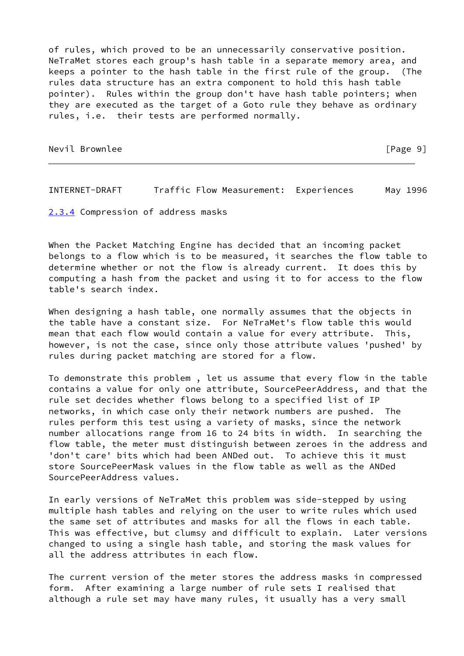of rules, which proved to be an unnecessarily conservative position. NeTraMet stores each group's hash table in a separate memory area, and keeps a pointer to the hash table in the first rule of the group. (The rules data structure has an extra component to hold this hash table pointer). Rules within the group don't have hash table pointers; when they are executed as the target of a Goto rule they behave as ordinary rules, i.e. their tests are performed normally.

Nevil Brownlee [Page 9]

<span id="page-10-1"></span>INTERNET-DRAFT Traffic Flow Measurement: Experiences May 1996

<span id="page-10-0"></span>[2.3.4](#page-10-0) Compression of address masks

When the Packet Matching Engine has decided that an incoming packet belongs to a flow which is to be measured, it searches the flow table to determine whether or not the flow is already current. It does this by computing a hash from the packet and using it to for access to the flow table's search index.

When designing a hash table, one normally assumes that the objects in the table have a constant size. For NeTraMet's flow table this would mean that each flow would contain a value for every attribute. This, however, is not the case, since only those attribute values 'pushed' by rules during packet matching are stored for a flow.

To demonstrate this problem , let us assume that every flow in the table contains a value for only one attribute, SourcePeerAddress, and that the rule set decides whether flows belong to a specified list of IP networks, in which case only their network numbers are pushed. The rules perform this test using a variety of masks, since the network number allocations range from 16 to 24 bits in width. In searching the flow table, the meter must distinguish between zeroes in the address and 'don't care' bits which had been ANDed out. To achieve this it must store SourcePeerMask values in the flow table as well as the ANDed SourcePeerAddress values.

In early versions of NeTraMet this problem was side-stepped by using multiple hash tables and relying on the user to write rules which used the same set of attributes and masks for all the flows in each table. This was effective, but clumsy and difficult to explain. Later versions changed to using a single hash table, and storing the mask values for all the address attributes in each flow.

The current version of the meter stores the address masks in compressed form. After examining a large number of rule sets I realised that although a rule set may have many rules, it usually has a very small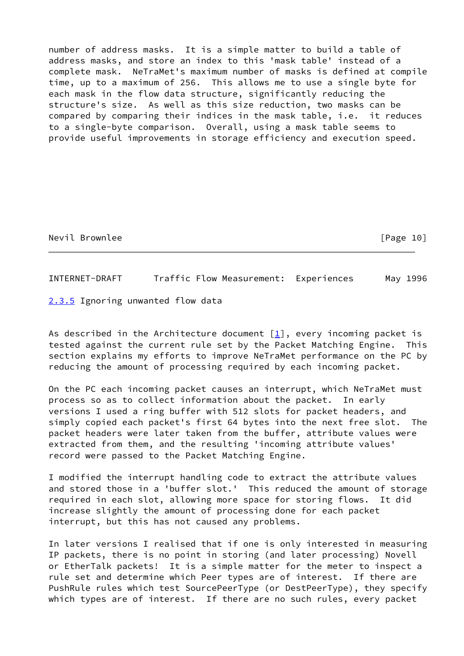number of address masks. It is a simple matter to build a table of address masks, and store an index to this 'mask table' instead of a complete mask. NeTraMet's maximum number of masks is defined at compile time, up to a maximum of 256. This allows me to use a single byte for each mask in the flow data structure, significantly reducing the structure's size. As well as this size reduction, two masks can be compared by comparing their indices in the mask table, i.e. it reduces to a single-byte comparison. Overall, using a mask table seems to provide useful improvements in storage efficiency and execution speed.

Nevil Brownlee [Page 10]

<span id="page-11-1"></span>INTERNET-DRAFT Traffic Flow Measurement: Experiences May 1996

<span id="page-11-0"></span>[2.3.5](#page-11-0) Ignoring unwanted flow data

As described in the Architecture document  $[1]$  $[1]$ , every incoming packet is tested against the current rule set by the Packet Matching Engine. This section explains my efforts to improve NeTraMet performance on the PC by reducing the amount of processing required by each incoming packet.

On the PC each incoming packet causes an interrupt, which NeTraMet must process so as to collect information about the packet. In early versions I used a ring buffer with 512 slots for packet headers, and simply copied each packet's first 64 bytes into the next free slot. The packet headers were later taken from the buffer, attribute values were extracted from them, and the resulting 'incoming attribute values' record were passed to the Packet Matching Engine.

I modified the interrupt handling code to extract the attribute values and stored those in a 'buffer slot.' This reduced the amount of storage required in each slot, allowing more space for storing flows. It did increase slightly the amount of processing done for each packet interrupt, but this has not caused any problems.

In later versions I realised that if one is only interested in measuring IP packets, there is no point in storing (and later processing) Novell or EtherTalk packets! It is a simple matter for the meter to inspect a rule set and determine which Peer types are of interest. If there are PushRule rules which test SourcePeerType (or DestPeerType), they specify which types are of interest. If there are no such rules, every packet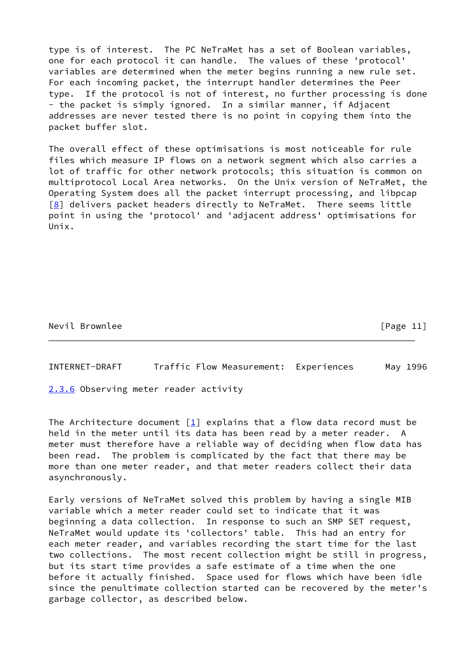type is of interest. The PC NeTraMet has a set of Boolean variables, one for each protocol it can handle. The values of these 'protocol' variables are determined when the meter begins running a new rule set. For each incoming packet, the interrupt handler determines the Peer type. If the protocol is not of interest, no further processing is done - the packet is simply ignored. In a similar manner, if Adjacent addresses are never tested there is no point in copying them into the packet buffer slot.

The overall effect of these optimisations is most noticeable for rule files which measure IP flows on a network segment which also carries a lot of traffic for other network protocols; this situation is common on multiprotocol Local Area networks. On the Unix version of NeTraMet, the Operating System does all the packet interrupt processing, and libpcap  $[8]$  delivers packet headers directly to NeTraMet. There seems little point in using the 'protocol' and 'adjacent address' optimisations for Unix.

Nevil Brownlee [Page 11]

<span id="page-12-1"></span>INTERNET-DRAFT Traffic Flow Measurement: Experiences May 1996

<span id="page-12-0"></span>[2.3.6](#page-12-0) Observing meter reader activity

The Architecture document  $\begin{bmatrix}1\\r\end{bmatrix}$  explains that a flow data record must be held in the meter until its data has been read by a meter reader. A meter must therefore have a reliable way of deciding when flow data has been read. The problem is complicated by the fact that there may be more than one meter reader, and that meter readers collect their data asynchronously.

Early versions of NeTraMet solved this problem by having a single MIB variable which a meter reader could set to indicate that it was beginning a data collection. In response to such an SMP SET request, NeTraMet would update its 'collectors' table. This had an entry for each meter reader, and variables recording the start time for the last two collections. The most recent collection might be still in progress, but its start time provides a safe estimate of a time when the one before it actually finished. Space used for flows which have been idle since the penultimate collection started can be recovered by the meter's garbage collector, as described below.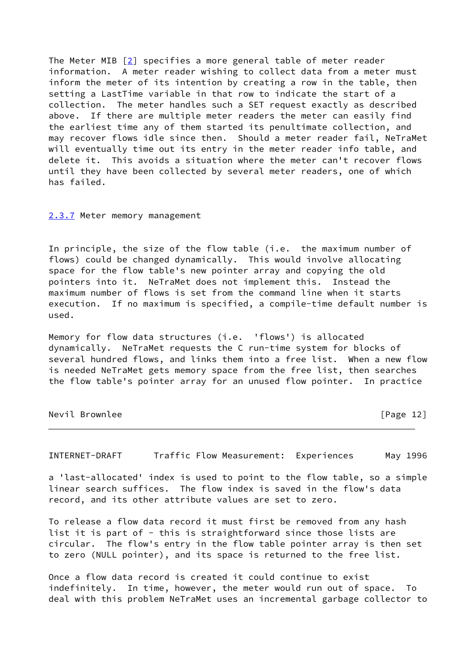The Meter MIB [[2\]](#page-34-1) specifies a more general table of meter reader information. A meter reader wishing to collect data from a meter must inform the meter of its intention by creating a row in the table, then setting a LastTime variable in that row to indicate the start of a collection. The meter handles such a SET request exactly as described above. If there are multiple meter readers the meter can easily find the earliest time any of them started its penultimate collection, and may recover flows idle since then. Should a meter reader fail, NeTraMet will eventually time out its entry in the meter reader info table, and delete it. This avoids a situation where the meter can't recover flows until they have been collected by several meter readers, one of which has failed.

#### <span id="page-13-0"></span>[2.3.7](#page-13-0) Meter memory management

In principle, the size of the flow table (i.e. the maximum number of flows) could be changed dynamically. This would involve allocating space for the flow table's new pointer array and copying the old pointers into it. NeTraMet does not implement this. Instead the maximum number of flows is set from the command line when it starts execution. If no maximum is specified, a compile-time default number is used.

Memory for flow data structures (i.e. 'flows') is allocated dynamically. NeTraMet requests the C run-time system for blocks of several hundred flows, and links them into a free list. When a new flow is needed NeTraMet gets memory space from the free list, then searches the flow table's pointer array for an unused flow pointer. In practice

Nevil Brownlee [Page 12]

INTERNET-DRAFT Traffic Flow Measurement: Experiences May 1996

a 'last-allocated' index is used to point to the flow table, so a simple linear search suffices. The flow index is saved in the flow's data record, and its other attribute values are set to zero.

To release a flow data record it must first be removed from any hash list it is part of - this is straightforward since those lists are circular. The flow's entry in the flow table pointer array is then set to zero (NULL pointer), and its space is returned to the free list.

Once a flow data record is created it could continue to exist indefinitely. In time, however, the meter would run out of space. To deal with this problem NeTraMet uses an incremental garbage collector to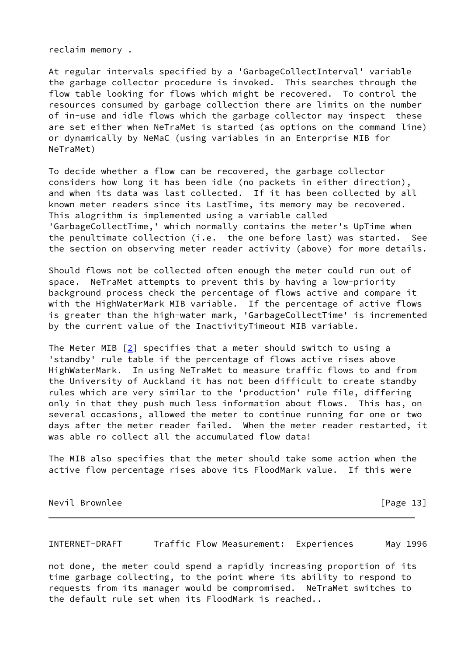reclaim memory .

At regular intervals specified by a 'GarbageCollectInterval' variable the garbage collector procedure is invoked. This searches through the flow table looking for flows which might be recovered. To control the resources consumed by garbage collection there are limits on the number of in-use and idle flows which the garbage collector may inspect these are set either when NeTraMet is started (as options on the command line) or dynamically by NeMaC (using variables in an Enterprise MIB for NeTraMet)

To decide whether a flow can be recovered, the garbage collector considers how long it has been idle (no packets in either direction), and when its data was last collected. If it has been collected by all known meter readers since its LastTime, its memory may be recovered. This alogrithm is implemented using a variable called 'GarbageCollectTime,' which normally contains the meter's UpTime when the penultimate collection (i.e. the one before last) was started. See the section on observing meter reader activity (above) for more details.

Should flows not be collected often enough the meter could run out of space. NeTraMet attempts to prevent this by having a low-priority background process check the percentage of flows active and compare it with the HighWaterMark MIB variable. If the percentage of active flows is greater than the high-water mark, 'GarbageCollectTime' is incremented by the current value of the InactivityTimeout MIB variable.

The Meter MIB  $[2]$  $[2]$  specifies that a meter should switch to using a 'standby' rule table if the percentage of flows active rises above HighWaterMark. In using NeTraMet to measure traffic flows to and from the University of Auckland it has not been difficult to create standby rules which are very similar to the 'production' rule file, differing only in that they push much less information about flows. This has, on several occasions, allowed the meter to continue running for one or two days after the meter reader failed. When the meter reader restarted, it was able ro collect all the accumulated flow data!

The MIB also specifies that the meter should take some action when the active flow percentage rises above its FloodMark value. If this were

Nevil Brownlee [Page 13]

<span id="page-14-0"></span>INTERNET-DRAFT Traffic Flow Measurement: Experiences May 1996

not done, the meter could spend a rapidly increasing proportion of its time garbage collecting, to the point where its ability to respond to requests from its manager would be compromised. NeTraMet switches to the default rule set when its FloodMark is reached..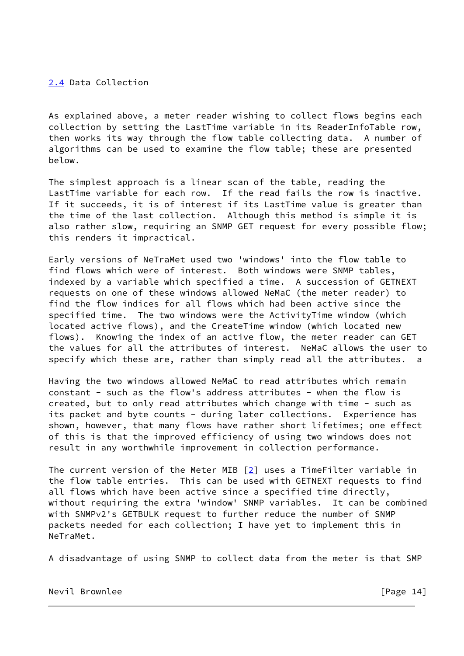# <span id="page-15-0"></span>[2.4](#page-15-0) Data Collection

As explained above, a meter reader wishing to collect flows begins each collection by setting the LastTime variable in its ReaderInfoTable row, then works its way through the flow table collecting data. A number of algorithms can be used to examine the flow table; these are presented below.

The simplest approach is a linear scan of the table, reading the LastTime variable for each row. If the read fails the row is inactive. If it succeeds, it is of interest if its LastTime value is greater than the time of the last collection. Although this method is simple it is also rather slow, requiring an SNMP GET request for every possible flow; this renders it impractical.

Early versions of NeTraMet used two 'windows' into the flow table to find flows which were of interest. Both windows were SNMP tables, indexed by a variable which specified a time. A succession of GETNEXT requests on one of these windows allowed NeMaC (the meter reader) to find the flow indices for all flows which had been active since the specified time. The two windows were the ActivityTime window (which located active flows), and the CreateTime window (which located new flows). Knowing the index of an active flow, the meter reader can GET the values for all the attributes of interest. NeMaC allows the user to specify which these are, rather than simply read all the attributes. a

Having the two windows allowed NeMaC to read attributes which remain constant - such as the flow's address attributes - when the flow is created, but to only read attributes which change with time - such as its packet and byte counts - during later collections. Experience has shown, however, that many flows have rather short lifetimes; one effect of this is that the improved efficiency of using two windows does not result in any worthwhile improvement in collection performance.

The current version of the Meter MIB  $[2]$  $[2]$  uses a TimeFilter variable in the flow table entries. This can be used with GETNEXT requests to find all flows which have been active since a specified time directly, without requiring the extra 'window' SNMP variables. It can be combined with SNMPv2's GETBULK request to further reduce the number of SNMP packets needed for each collection; I have yet to implement this in NeTraMet.

A disadvantage of using SNMP to collect data from the meter is that SMP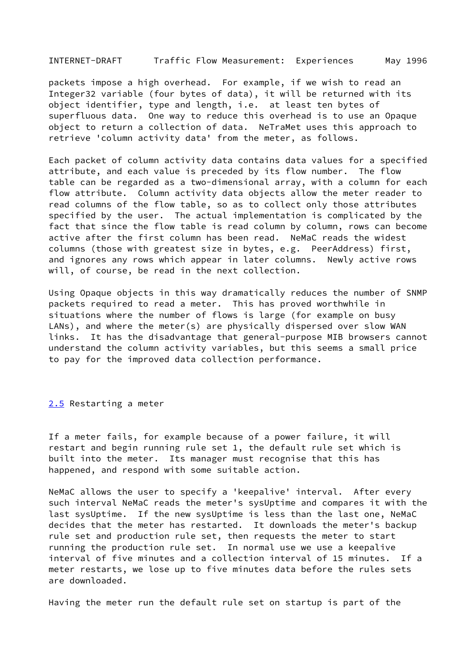<span id="page-16-1"></span>INTERNET-DRAFT Traffic Flow Measurement: Experiences May 1996

packets impose a high overhead. For example, if we wish to read an Integer32 variable (four bytes of data), it will be returned with its object identifier, type and length, i.e. at least ten bytes of superfluous data. One way to reduce this overhead is to use an Opaque object to return a collection of data. NeTraMet uses this approach to retrieve 'column activity data' from the meter, as follows.

Each packet of column activity data contains data values for a specified attribute, and each value is preceded by its flow number. The flow table can be regarded as a two-dimensional array, with a column for each flow attribute. Column activity data objects allow the meter reader to read columns of the flow table, so as to collect only those attributes specified by the user. The actual implementation is complicated by the fact that since the flow table is read column by column, rows can become active after the first column has been read. NeMaC reads the widest columns (those with greatest size in bytes, e.g. PeerAddress) first, and ignores any rows which appear in later columns. Newly active rows will, of course, be read in the next collection.

Using Opaque objects in this way dramatically reduces the number of SNMP packets required to read a meter. This has proved worthwhile in situations where the number of flows is large (for example on busy LANs), and where the meter(s) are physically dispersed over slow WAN links. It has the disadvantage that general-purpose MIB browsers cannot understand the column activity variables, but this seems a small price to pay for the improved data collection performance.

<span id="page-16-0"></span>[2.5](#page-16-0) Restarting a meter

If a meter fails, for example because of a power failure, it will restart and begin running rule set 1, the default rule set which is built into the meter. Its manager must recognise that this has happened, and respond with some suitable action.

NeMaC allows the user to specify a 'keepalive' interval. After every such interval NeMaC reads the meter's sysUptime and compares it with the last sysUptime. If the new sysUptime is less than the last one, NeMaC decides that the meter has restarted. It downloads the meter's backup rule set and production rule set, then requests the meter to start running the production rule set. In normal use we use a keepalive interval of five minutes and a collection interval of 15 minutes. If a meter restarts, we lose up to five minutes data before the rules sets are downloaded.

Having the meter run the default rule set on startup is part of the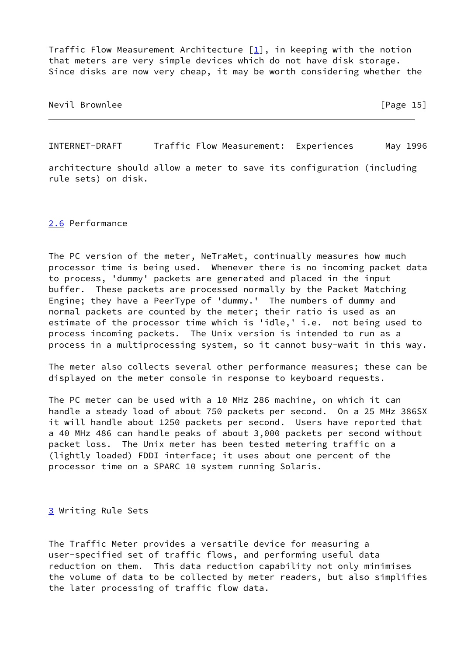Traffic Flow Measurement Architecture  $[1]$  $[1]$ , in keeping with the notion that meters are very simple devices which do not have disk storage. Since disks are now very cheap, it may be worth considering whether the

Nevil Brownlee [Page 15]

<span id="page-17-1"></span>INTERNET-DRAFT Traffic Flow Measurement: Experiences May 1996

architecture should allow a meter to save its configuration (including rule sets) on disk.

<span id="page-17-0"></span>[2.6](#page-17-0) Performance

The PC version of the meter, NeTraMet, continually measures how much processor time is being used. Whenever there is no incoming packet data to process, 'dummy' packets are generated and placed in the input buffer. These packets are processed normally by the Packet Matching Engine; they have a PeerType of 'dummy.' The numbers of dummy and normal packets are counted by the meter; their ratio is used as an estimate of the processor time which is 'idle,' i.e. not being used to process incoming packets. The Unix version is intended to run as a process in a multiprocessing system, so it cannot busy-wait in this way.

The meter also collects several other performance measures; these can be displayed on the meter console in response to keyboard requests.

The PC meter can be used with a 10 MHz 286 machine, on which it can handle a steady load of about 750 packets per second. On a 25 MHz 386SX it will handle about 1250 packets per second. Users have reported that a 40 MHz 486 can handle peaks of about 3,000 packets per second without packet loss. The Unix meter has been tested metering traffic on a (lightly loaded) FDDI interface; it uses about one percent of the processor time on a SPARC 10 system running Solaris.

<span id="page-17-2"></span>[3](#page-17-2) Writing Rule Sets

The Traffic Meter provides a versatile device for measuring a user-specified set of traffic flows, and performing useful data reduction on them. This data reduction capability not only minimises the volume of data to be collected by meter readers, but also simplifies the later processing of traffic flow data.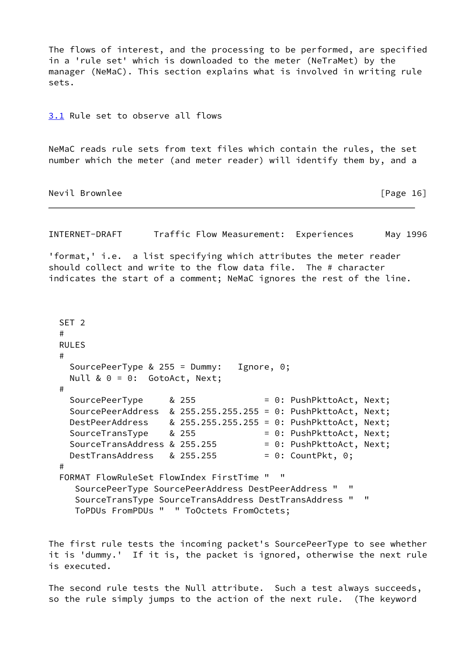The flows of interest, and the processing to be performed, are specified in a 'rule set' which is downloaded to the meter (NeTraMet) by the manager (NeMaC). This section explains what is involved in writing rule sets.

<span id="page-18-0"></span>[3.1](#page-18-0) Rule set to observe all flows

NeMaC reads rule sets from text files which contain the rules, the set number which the meter (and meter reader) will identify them by, and a

Nevil Brownlee [Page 16]

INTERNET-DRAFT Traffic Flow Measurement: Experiences May 1996

'format,' i.e. a list specifying which attributes the meter reader should collect and write to the flow data file. The # character indicates the start of a comment; NeMaC ignores the rest of the line.

```
 SET 2
  #
  RULES
  #
    SourcePeerType & 255 = Dummy: Ignore, 0;
   Null & 0 = 0: GotoAct, Next;
  #
   SourcePeerType & 255 = 0: PushPkttoAct, Next;
    SourcePeerAddress & 255.255.255.255 = 0: PushPkttoAct, Next;
 DestPeerAddress & 255.255.255.255 = 0: PushPkttoAct, Next;
 SourceTransType & 255 = 0: PushPkttoAct, Next;
   SourceTransAddress & 255.255 = 0: PushPkttoAct, Next;
   DestTransAddress & 255.255 = 0: CountPkt, 0;
  #
  FORMAT FlowRuleSet FlowIndex FirstTime " "
     SourcePeerType SourcePeerAddress DestPeerAddress " "
     SourceTransType SourceTransAddress DestTransAddress " "
     ToPDUs FromPDUs " " ToOctets FromOctets;
```
The first rule tests the incoming packet's SourcePeerType to see whether it is 'dummy.' If it is, the packet is ignored, otherwise the next rule is executed.

The second rule tests the Null attribute. Such a test always succeeds, so the rule simply jumps to the action of the next rule. (The keyword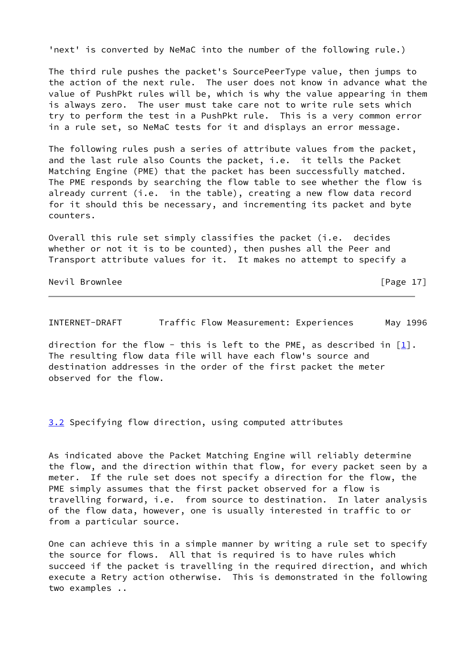'next' is converted by NeMaC into the number of the following rule.)

The third rule pushes the packet's SourcePeerType value, then jumps to the action of the next rule. The user does not know in advance what the value of PushPkt rules will be, which is why the value appearing in them is always zero. The user must take care not to write rule sets which try to perform the test in a PushPkt rule. This is a very common error in a rule set, so NeMaC tests for it and displays an error message.

The following rules push a series of attribute values from the packet, and the last rule also Counts the packet, i.e. it tells the Packet Matching Engine (PME) that the packet has been successfully matched. The PME responds by searching the flow table to see whether the flow is already current (i.e. in the table), creating a new flow data record for it should this be necessary, and incrementing its packet and byte counters.

Overall this rule set simply classifies the packet (i.e. decides whether or not it is to be counted), then pushes all the Peer and Transport attribute values for it. It makes no attempt to specify a

Nevil Brownlee [Page 17]

<span id="page-19-1"></span>INTERNET-DRAFT Traffic Flow Measurement: Experiences May 1996

direction for the flow - this is left to the PME, as described in  $[1]$  $[1]$ . The resulting flow data file will have each flow's source and destination addresses in the order of the first packet the meter observed for the flow.

<span id="page-19-0"></span>[3.2](#page-19-0) Specifying flow direction, using computed attributes

As indicated above the Packet Matching Engine will reliably determine the flow, and the direction within that flow, for every packet seen by a meter. If the rule set does not specify a direction for the flow, the PME simply assumes that the first packet observed for a flow is travelling forward, i.e. from source to destination. In later analysis of the flow data, however, one is usually interested in traffic to or from a particular source.

One can achieve this in a simple manner by writing a rule set to specify the source for flows. All that is required is to have rules which succeed if the packet is travelling in the required direction, and which execute a Retry action otherwise. This is demonstrated in the following two examples ..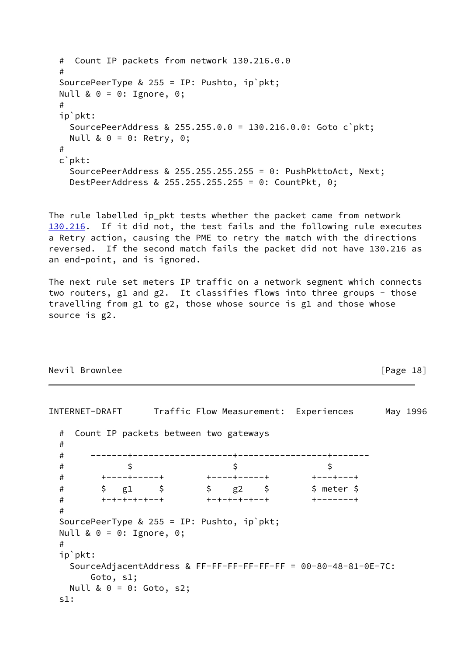```
 # Count IP packets from network 130.216.0.0
 #
 SourcePeerType & 255 = IP: Pushto, ip`pkt;
Null & 0 = 0: Ignore, 0;
 #
 ip`pkt:
   SourcePeerAddress & 255.255.0.0 = 130.216.0.0: Goto c`pkt;
  Null & 0 = 0: Retry, 0;
 #
 c`pkt:
   SourcePeerAddress & 255.255.255.255 = 0: PushPkttoAct, Next;
   DestPeerAddress & 255.255.255.255 = 0: CountPkt, 0;
```
<span id="page-20-0"></span>The rule labelled ip pkt tests whether the packet came from network [130.216](#page-20-0). If it did not, the test fails and the following rule executes a Retry action, causing the PME to retry the match with the directions reversed. If the second match fails the packet did not have 130.216 as an end-point, and is ignored.

The next rule set meters IP traffic on a network segment which connects two routers, g1 and g2. It classifies flows into three groups - those travelling from g1 to g2, those whose source is g1 and those whose source is g2.

## Nevil Brownlee [Page 18]

```
INTERNET-DRAFT Traffic Flow Measurement: Experiences May 1996
  # Count IP packets between two gateways
  #
  # -------+-------------------+-----------------+-------
  # $ $ $
  # +----+-----+ +----+-----+ +---+---+
 # $ g1 $ $ g2 $ $ meter $
 # +-+-+-+-+--+ +-+-+-+-+--+ +-------+
  #
  SourcePeerType & 255 = IP: Pushto, ip`pkt;
  Null & 0 = 0: Ignore, 0;
  #
  ip`pkt:
    SourceAdjacentAddress & FF-FF-FF-FF-FF-FF = 00-80-48-81-0E-7C:
       Goto, s1;
    Null & 0 = 0: Goto, s2;
  s1:
```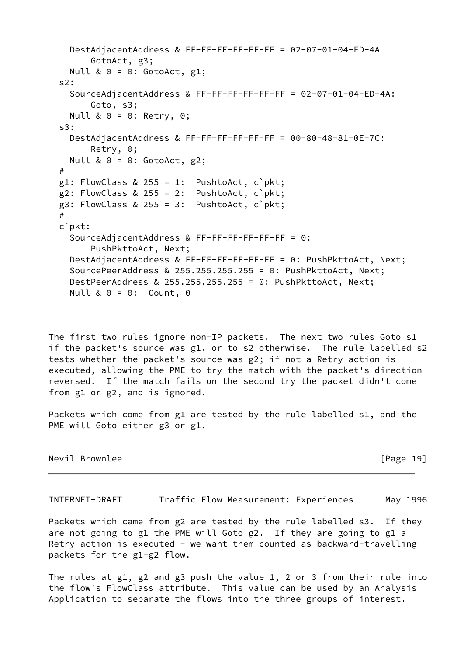```
 DestAdjacentAddress & FF-FF-FF-FF-FF-FF = 02-07-01-04-ED-4A
       GotoAct, g3;
  Null & 0 = 0: GotoAct, g1;
 s2:
   SourceAdjacentAddress & FF-FF-FF-FF-FF-FF = 02-07-01-04-ED-4A:
       Goto, s3;
   Null & 0 = 0: Retry, 0;
 s3:
   DestAdjacentAddress & FF-FF-FF-FF-FF-FF = 00-80-48-81-0E-7C:
       Retry, 0;
  Null & 0 = 0: GotoAct, g2;
 #
g1: FlowClass & 255 = 1: PushtoAct, c`pkt;
g2: FlowClass & 255 = 2: PushtoAct, c pkt;
g3: FlowClass & 255 = 3: PushtoAct, c`pkt;
 #
 c`pkt:
   SourceAdjacentAddress & FF-FF-FF-FF-FF-FF = 0:
       PushPkttoAct, Next;
   DestAdjacentAddress & FF-FF-FF-FF-FF-FF = 0: PushPkttoAct, Next;
   SourcePeerAddress & 255.255.255.255 = 0: PushPkttoAct, Next;
   DestPeerAddress & 255.255.255.255 = 0: PushPkttoAct, Next;
  Null & 0 = 0: Count, 0
```
The first two rules ignore non-IP packets. The next two rules Goto s1 if the packet's source was g1, or to s2 otherwise. The rule labelled s2 tests whether the packet's source was g2; if not a Retry action is executed, allowing the PME to try the match with the packet's direction reversed. If the match fails on the second try the packet didn't come from g1 or g2, and is ignored.

Packets which come from g1 are tested by the rule labelled s1, and the PME will Goto either g3 or g1.

Nevil Brownlee [Page 19]

<span id="page-21-0"></span>INTERNET-DRAFT Traffic Flow Measurement: Experiences May 1996

Packets which came from g2 are tested by the rule labelled s3. If they are not going to g1 the PME will Goto g2. If they are going to g1 a Retry action is executed - we want them counted as backward-travelling packets for the g1-g2 flow.

The rules at g1, g2 and g3 push the value 1, 2 or 3 from their rule into the flow's FlowClass attribute. This value can be used by an Analysis Application to separate the flows into the three groups of interest.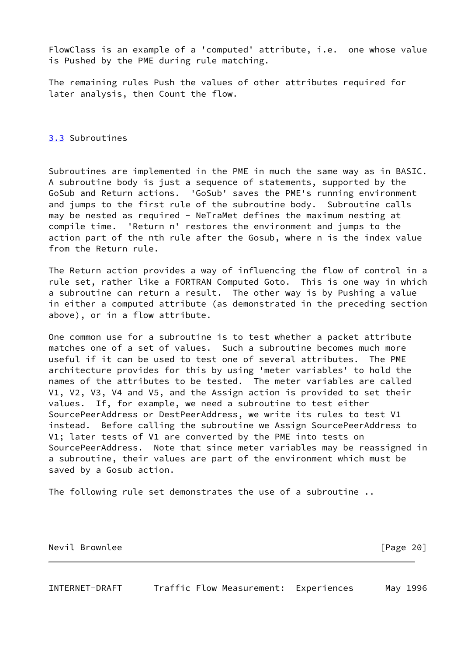FlowClass is an example of a 'computed' attribute, i.e. one whose value is Pushed by the PME during rule matching.

The remaining rules Push the values of other attributes required for later analysis, then Count the flow.

<span id="page-22-0"></span>[3.3](#page-22-0) Subroutines

Subroutines are implemented in the PME in much the same way as in BASIC. A subroutine body is just a sequence of statements, supported by the GoSub and Return actions. 'GoSub' saves the PME's running environment and jumps to the first rule of the subroutine body. Subroutine calls may be nested as required - NeTraMet defines the maximum nesting at compile time. 'Return n' restores the environment and jumps to the action part of the nth rule after the Gosub, where n is the index value from the Return rule.

The Return action provides a way of influencing the flow of control in a rule set, rather like a FORTRAN Computed Goto. This is one way in which a subroutine can return a result. The other way is by Pushing a value in either a computed attribute (as demonstrated in the preceding section above), or in a flow attribute.

One common use for a subroutine is to test whether a packet attribute matches one of a set of values. Such a subroutine becomes much more useful if it can be used to test one of several attributes. The PME architecture provides for this by using 'meter variables' to hold the names of the attributes to be tested. The meter variables are called V1, V2, V3, V4 and V5, and the Assign action is provided to set their values. If, for example, we need a subroutine to test either SourcePeerAddress or DestPeerAddress, we write its rules to test V1 instead. Before calling the subroutine we Assign SourcePeerAddress to V1; later tests of V1 are converted by the PME into tests on SourcePeerAddress. Note that since meter variables may be reassigned in a subroutine, their values are part of the environment which must be saved by a Gosub action.

The following rule set demonstrates the use of a subroutine ..

Nevil Brownlee [Page 20]

INTERNET-DRAFT Traffic Flow Measurement: Experiences May 1996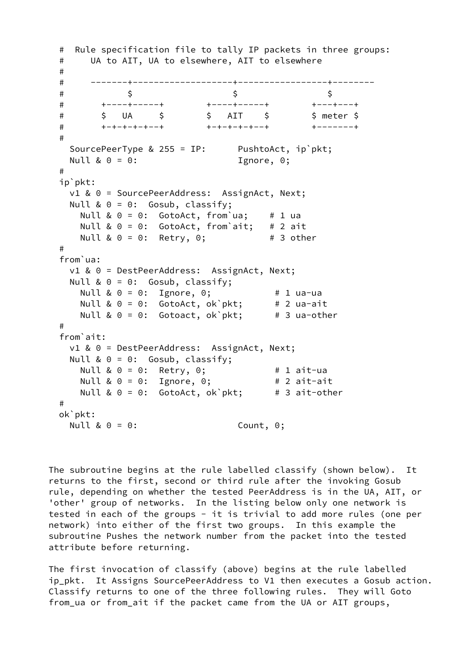```
 # Rule specification file to tally IP packets in three groups:
  # UA to AIT, UA to elsewhere, AIT to elsewhere
  #
  # -------+-------------------+-----------------+--------
\uparrow \uparrow \uparrow \uparrow \uparrow \uparrow \uparrow \uparrow \uparrow \uparrow # +----+-----+ +----+-----+ +---+---+
 # $ UA $ $ AIT $ $ meter $
 # +-+-+-+-+--+ +-+-+-+-+--+ +-------+
  #
 SourcePeerType & 255 = IP: PushtoAct, ip`pkt;
 Null & 0 = 0: Ignore, 0;
  #
  ip`pkt:
    v1 & 0 = SourcePeerAddress: AssignAct, Next;
   Null & 0 = 0: Gosub, classify;
    Null & 0 = 0: GotoAct, from'ua; # 1 ua
    Null & 0 = 0: GotoAct, from`ait; # 2 ait
    Null & 0 = 0: Retry, 0; # 3 other
  #
  from`ua:
    v1 & 0 = DestPeerAddress: AssignAct, Next;
   Null & 0 = 0: Gosub, classify;
 Null & 0 = 0: Ignore, 0; # 1 ua-ua
 Null & 0 = 0: GotoAct, ok`pkt; # 2 ua-ait
 Null & 0 = 0: Gotoact, ok`pkt; # 3 ua-other
  #
  from`ait:
    v1 & 0 = DestPeerAddress: AssignAct, Next;
    Null & 0 = 0: Gosub, classify;
 Null & 0 = 0: Retry, 0; # 1 ait-ua
 Null & 0 = 0: Ignore, 0; # 2 ait-ait
    Null & 0 = 0: GotoAct, ok'pkt; # 3 ait-other
  #
  ok`pkt:
   Null & 0 = 0: Count, 0;
```
The subroutine begins at the rule labelled classify (shown below). It returns to the first, second or third rule after the invoking Gosub rule, depending on whether the tested PeerAddress is in the UA, AIT, or 'other' group of networks. In the listing below only one network is tested in each of the groups - it is trivial to add more rules (one per network) into either of the first two groups. In this example the subroutine Pushes the network number from the packet into the tested attribute before returning.

The first invocation of classify (above) begins at the rule labelled ip\_pkt. It Assigns SourcePeerAddress to V1 then executes a Gosub action. Classify returns to one of the three following rules. They will Goto from\_ua or from\_ait if the packet came from the UA or AIT groups,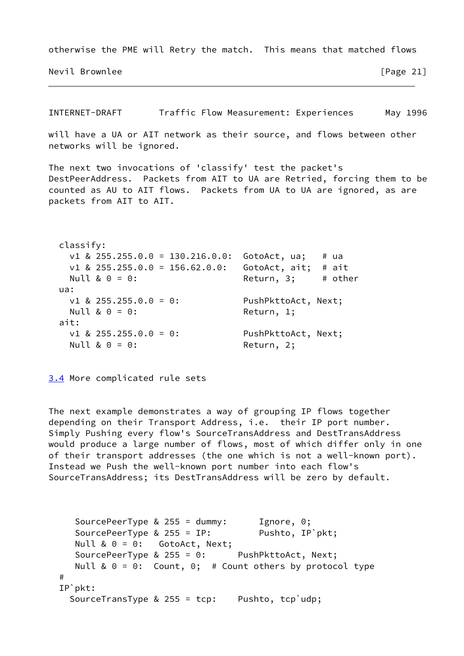otherwise the PME will Retry the match. This means that matched flows

Nevil Brownlee **and Contract Contract Contract Contract Contract Contract Contract Contract Contract Contract Contract Contract Contract Contract Contract Contract Contract Contract Contract Contract Contract Contract Cont** 

<span id="page-24-1"></span>INTERNET-DRAFT Traffic Flow Measurement: Experiences May 1996 will have a UA or AIT network as their source, and flows between other networks will be ignored. The next two invocations of 'classify' test the packet's DestPeerAddress. Packets from AIT to UA are Retried, forcing them to be counted as AU to AIT flows. Packets from UA to UA are ignored, as are packets from AIT to AIT. classify: v1 & 255.255.0.0 = 130.216.0.0: GotoAct, ua; # ua v1 & 255.255.0.0 = 156.62.0.0: GotoAct, ait; # ait Null  $\& 0 = 0$ : Return, 3; # other ua: v1 & 255.255.0.0 = 0: PushPkttoAct, Next; Null & 0 = 0: Return, 1; ait: v1 & 255.255.0.0 = 0: PushPkttoAct, Next; Null & 0 = 0: Return, 2;

<span id="page-24-0"></span>[3.4](#page-24-0) More complicated rule sets

The next example demonstrates a way of grouping IP flows together depending on their Transport Address, i.e. their IP port number. Simply Pushing every flow's SourceTransAddress and DestTransAddress would produce a large number of flows, most of which differ only in one of their transport addresses (the one which is not a well-known port). Instead we Push the well-known port number into each flow's SourceTransAddress; its DestTransAddress will be zero by default.

```
SourcePeerType & 255 = dummy: Ignore, 0;
  SourcePeerType & 255 = IP: Pushto, IP`pkt;
  Null & 0 = 0: GotoAct, Next;
   SourcePeerType & 255 = 0: PushPkttoAct, Next;
  Null & 0 = 0: Count, 0; # Count others by protocol type
 #
 IP`pkt:
  SourceTransType & 255 = tcp: Pushto, tcp`udp;
```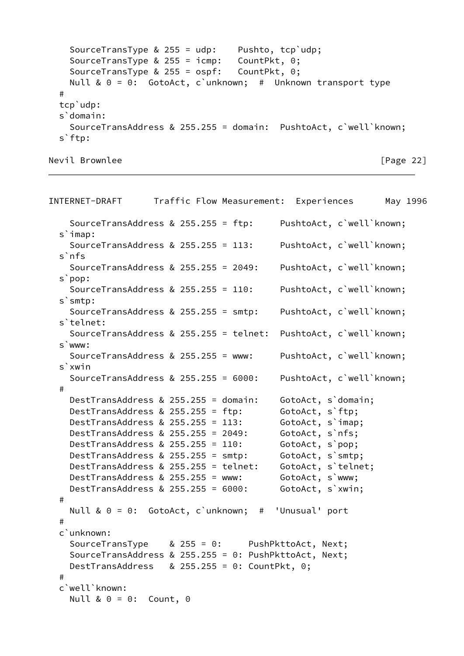```
 SourceTransType & 255 = udp: Pushto, tcp`udp;
 SourceTransType & 255 = icmp: CountPkt, 0;
 SourceTransType & 255 = ospf: CountPkt, 0;
    Null & 0 = 0: GotoAct, c`unknown; # Unknown transport type
  #
  tcp`udp:
 s`domain:
    SourceTransAddress & 255.255 = domain: PushtoAct, c`well`known;
  s`ftp:
```

```
Nevil Brownlee [Page 22]
```

| INTERNET-DRAFT                                                                                                           |              | Traffic Flow Measurement: | Experiences                           |                          | May 1996 |
|--------------------------------------------------------------------------------------------------------------------------|--------------|---------------------------|---------------------------------------|--------------------------|----------|
| SourceTransAddress & 255.255 = ftp:<br>$s$ imap:                                                                         |              |                           | PushtoAct, c'well'known;              |                          |          |
| SourceTransAddress & 255.255 = 113:<br>s'nfs                                                                             |              |                           |                                       | PushtoAct, c'well'known; |          |
| SourceTransAddress & 255.255 = 2049:                                                                                     |              |                           |                                       | PushtoAct, c'well'known; |          |
| s`pop:<br>SourceTransAddress & $255.255 = 110$ :                                                                         |              |                           |                                       | PushtoAct, c'well'known; |          |
| s'smtp:<br>SourceTransAddress & 255.255 = smtp:                                                                          |              |                           | PushtoAct, c'well'known;              |                          |          |
| s'telnet:<br>SourceTransAddress & 255.255 = telnet:                                                                      |              |                           | PushtoAct, c'well'known;              |                          |          |
| s`www:<br>SourceTransAddress & 255.255 = www:                                                                            |              |                           |                                       | PushtoAct, c'well'known; |          |
| s`xwin<br>SourceTransAddress & 255.255 = 6000:                                                                           |              |                           |                                       | PushtoAct, c'well'known; |          |
| #<br>DestTransAddress & 255.255 = domain:                                                                                |              |                           |                                       |                          |          |
| DestTransAddress & 255.255 = ftp:                                                                                        |              |                           | GotoAct, s'domain;<br>GotoAct, s`ftp; |                          |          |
| DestTransAddress & 255.255 = 113:                                                                                        |              |                           | GotoAct, s'imap;                      |                          |          |
| DestTransAddress & 255.255 = 2049:                                                                                       |              |                           | GotoAct, s`nfs;                       |                          |          |
| DestTransAddress & 255.255 = 110:                                                                                        |              |                           | GotoAct, s`pop;                       |                          |          |
| DestTransAddress & 255.255 = smtp:                                                                                       |              |                           | GotoAct, s'smtp;                      |                          |          |
| DestTransAddress & 255.255 = telnet:                                                                                     |              |                           | GotoAct, s'telnet;                    |                          |          |
| DestTransAddress & 255.255 = www:                                                                                        |              |                           | GotoAct, s`www;                       |                          |          |
| DestTransAddress & 255.255 = 6000:                                                                                       |              |                           | GotoAct, s'xwin;                      |                          |          |
| $\#$                                                                                                                     |              |                           |                                       |                          |          |
| Null & $0 = 0$ : GotoAct, c'unknown; # 'Unusual' port<br>$\#$                                                            |              |                           |                                       |                          |          |
| c'unknown:                                                                                                               |              |                           |                                       |                          |          |
| SourceTransType<br>SourceTransAddress & 255.255 = 0: PushPkttoAct, Next;<br>DestTransAddress & 255.255 = 0: CountPkt, 0; | $& 255 = 0:$ |                           | PushPkttoAct, Next;                   |                          |          |
| $\#$                                                                                                                     |              |                           |                                       |                          |          |
| c'well'known:<br>Null & $0 = 0$ : Count, 0                                                                               |              |                           |                                       |                          |          |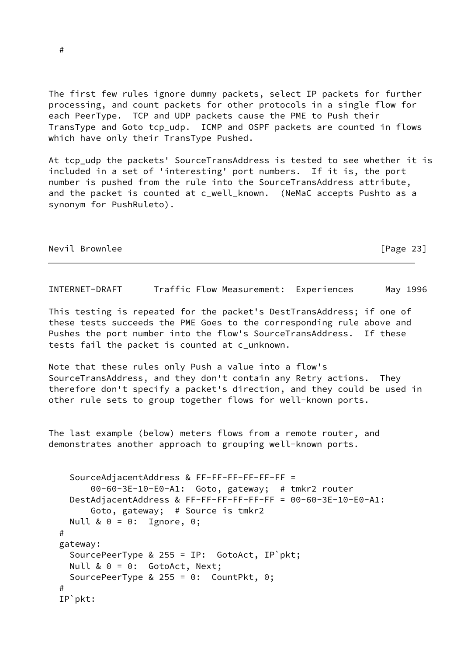The first few rules ignore dummy packets, select IP packets for further processing, and count packets for other protocols in a single flow for each PeerType. TCP and UDP packets cause the PME to Push their TransType and Goto tcp\_udp. ICMP and OSPF packets are counted in flows which have only their TransType Pushed.

At tcp\_udp the packets' SourceTransAddress is tested to see whether it is included in a set of 'interesting' port numbers. If it is, the port number is pushed from the rule into the SourceTransAddress attribute, and the packet is counted at c\_well\_known. (NeMaC accepts Pushto as a synonym for PushRuleto).

Nevil Brownlee [Page 23]

INTERNET-DRAFT Traffic Flow Measurement: Experiences May 1996

This testing is repeated for the packet's DestTransAddress; if one of these tests succeeds the PME Goes to the corresponding rule above and Pushes the port number into the flow's SourceTransAddress. If these tests fail the packet is counted at c\_unknown.

Note that these rules only Push a value into a flow's SourceTransAddress, and they don't contain any Retry actions. They therefore don't specify a packet's direction, and they could be used in other rule sets to group together flows for well-known ports.

The last example (below) meters flows from a remote router, and demonstrates another approach to grouping well-known ports.

```
 SourceAdjacentAddress & FF-FF-FF-FF-FF-FF =
         00-60-3E-10-E0-A1: Goto, gateway; # tmkr2 router
    DestAdjacentAddress & FF-FF-FF-FF-FF-FF = 00-60-3E-10-E0-A1:
         Goto, gateway; # Source is tmkr2
   Null & 0 = 0: Ignore, 0;
  #
  gateway:
    SourcePeerType & 255 = IP: GotoAct, IP`pkt;
    Null & 0 = 0: GotoAct, Next;
    SourcePeerType & 255 = 0: CountPkt, 0;
 #
  IP`pkt:
```
#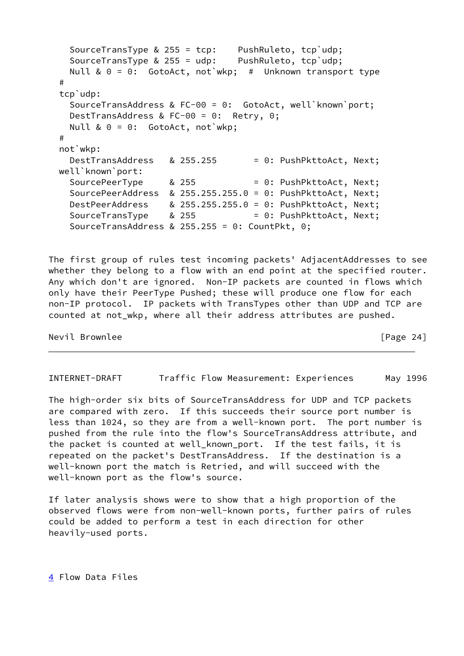```
 SourceTransType & 255 = tcp: PushRuleto, tcp`udp;
   SourceTransType & 255 = udp: PushRuleto, tcp`udp;
 Null & 0 = 0: GotoAct, not'wkp; # Unknown transport type
 #
 tcp`udp:
   SourceTransAddress & FC-00 = 0: GotoAct, well`known`port;
   DestTransAddress & FC-00 = 0: Retry, 0;
 Null & 0 = 0: GotoAct, not wkp;
 #
 not`wkp:
 DestTransAddress & 255.255 = 0: PushPkttoAct, Next;
 well`known`port:
 SourcePeerType & 255 = 0: PushPkttoAct, Next;
   SourcePeerAddress & 255.255.255.0 = 0: PushPkttoAct, Next;
 DestPeerAddress & 255.255.255.0 = 0: PushPkttoAct, Next;
 SourceTransType & 255 = 0: PushPkttoAct, Next;
   SourceTransAddress & 255.255 = 0: CountPkt, 0;
```
The first group of rules test incoming packets' AdjacentAddresses to see whether they belong to a flow with an end point at the specified router. Any which don't are ignored. Non-IP packets are counted in flows which only have their PeerType Pushed; these will produce one flow for each non-IP protocol. IP packets with TransTypes other than UDP and TCP are counted at not\_wkp, where all their address attributes are pushed.

Nevil Brownlee [Page 24]

<span id="page-27-0"></span>INTERNET-DRAFT Traffic Flow Measurement: Experiences May 1996

The high-order six bits of SourceTransAddress for UDP and TCP packets are compared with zero. If this succeeds their source port number is less than 1024, so they are from a well-known port. The port number is pushed from the rule into the flow's SourceTransAddress attribute, and the packet is counted at well\_known\_port. If the test fails, it is repeated on the packet's DestTransAddress. If the destination is a well-known port the match is Retried, and will succeed with the well-known port as the flow's source.

If later analysis shows were to show that a high proportion of the observed flows were from non-well-known ports, further pairs of rules could be added to perform a test in each direction for other heavily-used ports.

<span id="page-27-1"></span>[4](#page-27-1) Flow Data Files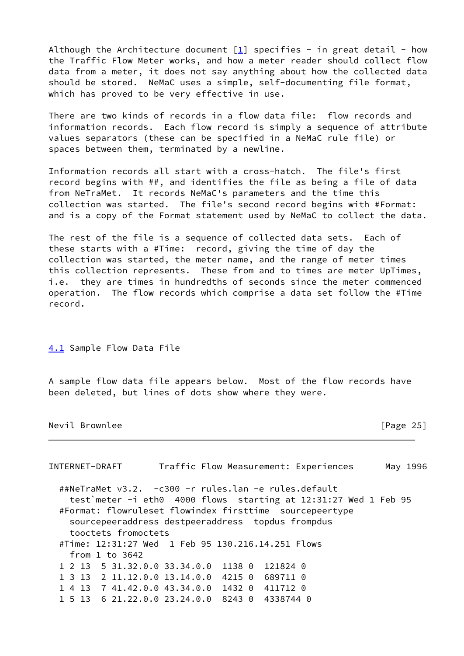Although the Architecture document  $\boxed{1}$  specifies - in great detail - how the Traffic Flow Meter works, and how a meter reader should collect flow data from a meter, it does not say anything about how the collected data should be stored. NeMaC uses a simple, self-documenting file format, which has proved to be very effective in use.

There are two kinds of records in a flow data file: flow records and information records. Each flow record is simply a sequence of attribute values separators (these can be specified in a NeMaC rule file) or spaces between them, terminated by a newline.

Information records all start with a cross-hatch. The file's first record begins with ##, and identifies the file as being a file of data from NeTraMet. It records NeMaC's parameters and the time this collection was started. The file's second record begins with #Format: and is a copy of the Format statement used by NeMaC to collect the data.

The rest of the file is a sequence of collected data sets. Each of these starts with a #Time: record, giving the time of day the collection was started, the meter name, and the range of meter times this collection represents. These from and to times are meter UpTimes, i.e. they are times in hundredths of seconds since the meter commenced operation. The flow records which comprise a data set follow the #Time record.

<span id="page-28-0"></span>[4.1](#page-28-0) Sample Flow Data File

A sample flow data file appears below. Most of the flow records have been deleted, but lines of dots show where they were.

Nevil Brownlee [Page 25]

| INTERNET-DRAFT                                                   |                 |           | Traffic Flow Measurement: Experiences | May 1996 |
|------------------------------------------------------------------|-----------------|-----------|---------------------------------------|----------|
| ##NeTraMet v3.2. -c300 -r rules.lan -e rules.default             |                 |           |                                       |          |
| test meter -i eth0 4000 flows starting at 12:31:27 Wed 1 Feb 95  |                 |           |                                       |          |
| #Format: flowruleset flowindex firsttime sourcepeertype          |                 |           |                                       |          |
| sourcepeeraddress destpeeraddress topdus frompdus                |                 |           |                                       |          |
| tooctets fromoctets                                              |                 |           |                                       |          |
| #Time: 12:31:27 Wed    1    Feb    95    130.216.14.251    Flows |                 |           |                                       |          |
| from $1$ to $3642$                                               |                 |           |                                       |          |
| 1 2 13 5 31.32.0.0 33.34.0.0                                     | 1138 0          | 121824 0  |                                       |          |
| 1 3 13 2 11.12.0.0 13.14.0.0                                     | 4215 0 689711 0 |           |                                       |          |
| 1 4 13 7 41.42.0.0 43.34.0.0                                     | 1432 0 411712 0 |           |                                       |          |
| 1 5 13 6 21.22.0.0 23.24.0.0                                     | 82430           | 4338744 0 |                                       |          |
|                                                                  |                 |           |                                       |          |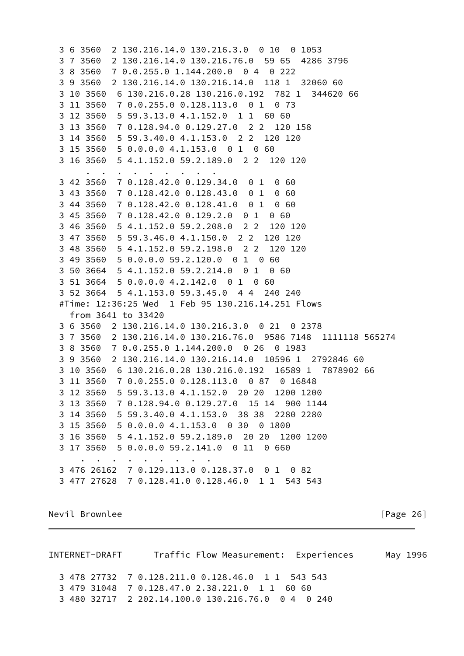```
 3 6 3560 2 130.216.14.0 130.216.3.0 0 10 0 1053
 3 7 3560 2 130.216.14.0 130.216.76.0 59 65 4286 3796
 3 8 3560 7 0.0.255.0 1.144.200.0 0 4 0 222
 3 9 3560 2 130.216.14.0 130.216.14.0 118 1 32060 60
 3 10 3560 6 130.216.0.28 130.216.0.192 782 1 344620 66
 3 11 3560 7 0.0.255.0 0.128.113.0 0 1 0 73
 3 12 3560 5 59.3.13.0 4.1.152.0 1 1 60 60
 3 13 3560 7 0.128.94.0 0.129.27.0 2 2 120 158
 3 14 3560 5 59.3.40.0 4.1.153.0 2 2 120 120
 3 15 3560 5 0.0.0.0 4.1.153.0 0 1 0 60
 3 16 3560 5 4.1.152.0 59.2.189.0 2 2 120 120
      . . . . . . . . .
 3 42 3560 7 0.128.42.0 0.129.34.0 0 1 0 60
 3 43 3560 7 0.128.42.0 0.128.43.0 0 1 0 60
 3 44 3560 7 0.128.42.0 0.128.41.0 0 1 0 60
 3 45 3560 7 0.128.42.0 0.129.2.0 0 1 0 60
 3 46 3560 5 4.1.152.0 59.2.208.0 2 2 120 120
 3 47 3560 5 59.3.46.0 4.1.150.0 2 2 120 120
 3 48 3560 5 4.1.152.0 59.2.198.0 2 2 120 120
 3 49 3560 5 0.0.0.0 59.2.120.0 0 1 0 60
 3 50 3664 5 4.1.152.0 59.2.214.0 0 1 0 60
 3 51 3664 5 0.0.0.0 4.2.142.0 0 1 0 60
 3 52 3664 5 4.1.153.0 59.3.45.0 4 4 240 240
 #Time: 12:36:25 Wed 1 Feb 95 130.216.14.251 Flows
  from 3641 to 33420
 3 6 3560 2 130.216.14.0 130.216.3.0 0 21 0 2378
 3 7 3560 2 130.216.14.0 130.216.76.0 9586 7148 1111118 565274
 3 8 3560 7 0.0.255.0 1.144.200.0 0 26 0 1983
 3 9 3560 2 130.216.14.0 130.216.14.0 10596 1 2792846 60
 3 10 3560 6 130.216.0.28 130.216.0.192 16589 1 7878902 66
 3 11 3560 7 0.0.255.0 0.128.113.0 0 87 0 16848
 3 12 3560 5 59.3.13.0 4.1.152.0 20 20 1200 1200
 3 13 3560 7 0.128.94.0 0.129.27.0 15 14 900 1144
 3 14 3560 5 59.3.40.0 4.1.153.0 38 38 2280 2280
 3 15 3560 5 0.0.0.0 4.1.153.0 0 30 0 1800
 3 16 3560 5 4.1.152.0 59.2.189.0 20 20 1200 1200
 3 17 3560 5 0.0.0.0 59.2.141.0 0 11 0 660
    . . . . . . . . .
 3 476 26162 7 0.129.113.0 0.128.37.0 0 1 0 82
 3 477 27628 7 0.128.41.0 0.128.46.0 1 1 543 543
```
Nevil Brownlee [Page 26]

<span id="page-29-0"></span>INTERNET-DRAFT Traffic Flow Measurement: Experiences May 1996 3 478 27732 7 0.128.211.0 0.128.46.0 1 1 543 543 3 479 31048 7 0.128.47.0 2.38.221.0 1 1 60 60 3 480 32717 2 202.14.100.0 130.216.76.0 0 4 0 240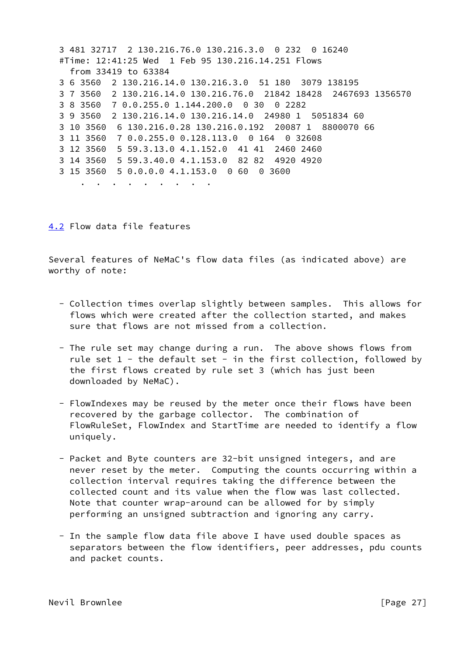3 481 32717 2 130.216.76.0 130.216.3.0 0 232 0 16240 #Time: 12:41:25 Wed 1 Feb 95 130.216.14.251 Flows from 33419 to 63384 3 6 3560 2 130.216.14.0 130.216.3.0 51 180 3079 138195 3 7 3560 2 130.216.14.0 130.216.76.0 21842 18428 2467693 1356570 3 8 3560 7 0.0.255.0 1.144.200.0 0 30 0 2282 3 9 3560 2 130.216.14.0 130.216.14.0 24980 1 5051834 60 3 10 3560 6 130.216.0.28 130.216.0.192 20087 1 8800070 66 3 11 3560 7 0.0.255.0 0.128.113.0 0 164 0 32608 3 12 3560 5 59.3.13.0 4.1.152.0 41 41 2460 2460 3 14 3560 5 59.3.40.0 4.1.153.0 82 82 4920 4920 3 15 3560 5 0.0.0.0 4.1.153.0 0 60 0 3600 . . . . . . . . .

<span id="page-30-0"></span>[4.2](#page-30-0) Flow data file features

Several features of NeMaC's flow data files (as indicated above) are worthy of note:

- Collection times overlap slightly between samples. This allows for flows which were created after the collection started, and makes sure that flows are not missed from a collection.
- The rule set may change during a run. The above shows flows from rule set  $1$  - the default set - in the first collection, followed by the first flows created by rule set 3 (which has just been downloaded by NeMaC).
- FlowIndexes may be reused by the meter once their flows have been recovered by the garbage collector. The combination of FlowRuleSet, FlowIndex and StartTime are needed to identify a flow uniquely.
- Packet and Byte counters are 32-bit unsigned integers, and are never reset by the meter. Computing the counts occurring within a collection interval requires taking the difference between the collected count and its value when the flow was last collected. Note that counter wrap-around can be allowed for by simply performing an unsigned subtraction and ignoring any carry.
- In the sample flow data file above I have used double spaces as separators between the flow identifiers, peer addresses, pdu counts and packet counts.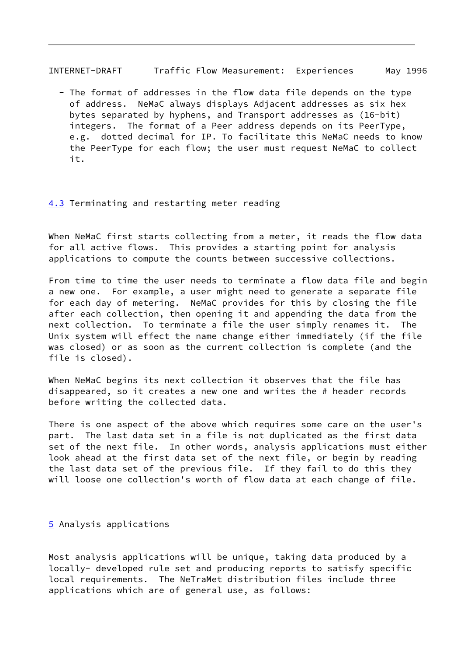<span id="page-31-1"></span>INTERNET-DRAFT Traffic Flow Measurement: Experiences May 1996

 - The format of addresses in the flow data file depends on the type of address. NeMaC always displays Adjacent addresses as six hex bytes separated by hyphens, and Transport addresses as (16-bit) integers. The format of a Peer address depends on its PeerType, e.g. dotted decimal for IP. To facilitate this NeMaC needs to know the PeerType for each flow; the user must request NeMaC to collect it.

### <span id="page-31-0"></span>[4.3](#page-31-0) Terminating and restarting meter reading

When NeMaC first starts collecting from a meter, it reads the flow data for all active flows. This provides a starting point for analysis applications to compute the counts between successive collections.

From time to time the user needs to terminate a flow data file and begin a new one. For example, a user might need to generate a separate file for each day of metering. NeMaC provides for this by closing the file after each collection, then opening it and appending the data from the next collection. To terminate a file the user simply renames it. The Unix system will effect the name change either immediately (if the file was closed) or as soon as the current collection is complete (and the file is closed).

When NeMaC begins its next collection it observes that the file has disappeared, so it creates a new one and writes the # header records before writing the collected data.

There is one aspect of the above which requires some care on the user's part. The last data set in a file is not duplicated as the first data set of the next file. In other words, analysis applications must either look ahead at the first data set of the next file, or begin by reading the last data set of the previous file. If they fail to do this they will loose one collection's worth of flow data at each change of file.

# <span id="page-31-2"></span>[5](#page-31-2) Analysis applications

Most analysis applications will be unique, taking data produced by a locally- developed rule set and producing reports to satisfy specific local requirements. The NeTraMet distribution files include three applications which are of general use, as follows: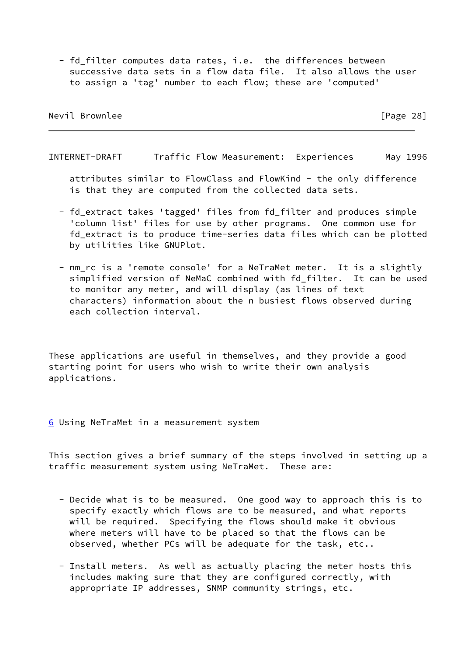- fd\_filter computes data rates, i.e. the differences between successive data sets in a flow data file. It also allows the user to assign a 'tag' number to each flow; these are 'computed'

Nevil Brownlee [Page 28]

INTERNET-DRAFT Traffic Flow Measurement: Experiences May 1996

 attributes similar to FlowClass and FlowKind - the only difference is that they are computed from the collected data sets.

- fd\_extract takes 'tagged' files from fd\_filter and produces simple 'column list' files for use by other programs. One common use for fd\_extract is to produce time-series data files which can be plotted by utilities like GNUPlot.
- nm\_rc is a 'remote console' for a NeTraMet meter. It is a slightly simplified version of NeMaC combined with fd\_filter. It can be used to monitor any meter, and will display (as lines of text characters) information about the n busiest flows observed during each collection interval.

These applications are useful in themselves, and they provide a good starting point for users who wish to write their own analysis applications.

<span id="page-32-0"></span>[6](#page-32-0) Using NeTraMet in a measurement system

This section gives a brief summary of the steps involved in setting up a traffic measurement system using NeTraMet. These are:

- Decide what is to be measured. One good way to approach this is to specify exactly which flows are to be measured, and what reports will be required. Specifying the flows should make it obvious where meters will have to be placed so that the flows can be observed, whether PCs will be adequate for the task, etc..
- Install meters. As well as actually placing the meter hosts this includes making sure that they are configured correctly, with appropriate IP addresses, SNMP community strings, etc.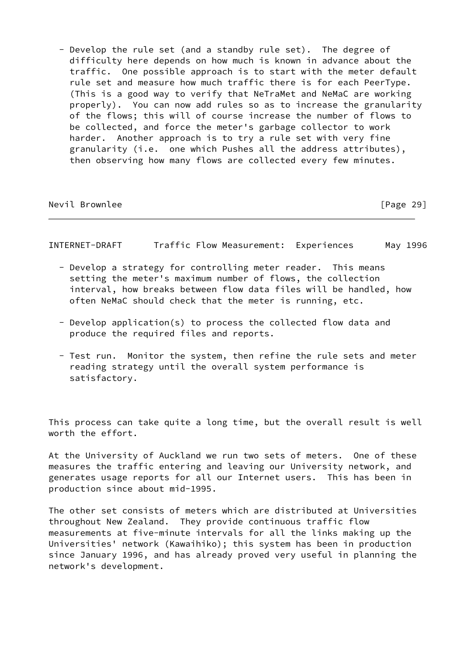- Develop the rule set (and a standby rule set). The degree of difficulty here depends on how much is known in advance about the traffic. One possible approach is to start with the meter default rule set and measure how much traffic there is for each PeerType. (This is a good way to verify that NeTraMet and NeMaC are working properly). You can now add rules so as to increase the granularity of the flows; this will of course increase the number of flows to be collected, and force the meter's garbage collector to work harder. Another approach is to try a rule set with very fine granularity (i.e. one which Pushes all the address attributes), then observing how many flows are collected every few minutes.

Nevil Brownlee [Page 29]

INTERNET-DRAFT Traffic Flow Measurement: Experiences May 1996

- Develop a strategy for controlling meter reader. This means setting the meter's maximum number of flows, the collection interval, how breaks between flow data files will be handled, how often NeMaC should check that the meter is running, etc.
- Develop application(s) to process the collected flow data and produce the required files and reports.
- Test run. Monitor the system, then refine the rule sets and meter reading strategy until the overall system performance is satisfactory.

This process can take quite a long time, but the overall result is well worth the effort.

At the University of Auckland we run two sets of meters. One of these measures the traffic entering and leaving our University network, and generates usage reports for all our Internet users. This has been in production since about mid-1995.

The other set consists of meters which are distributed at Universities throughout New Zealand. They provide continuous traffic flow measurements at five-minute intervals for all the links making up the Universities' network (Kawaihiko); this system has been in production since January 1996, and has already proved very useful in planning the network's development.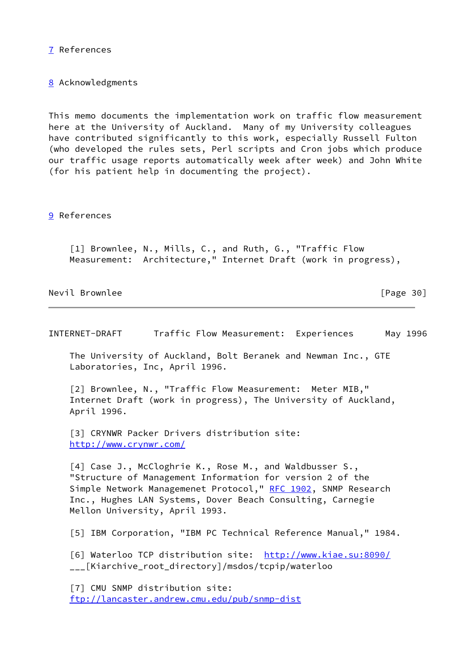<span id="page-34-7"></span>[7](#page-34-7) References

<span id="page-34-8"></span>[8](#page-34-8) Acknowledgments

This memo documents the implementation work on traffic flow measurement here at the University of Auckland. Many of my University colleagues have contributed significantly to this work, especially Russell Fulton (who developed the rules sets, Perl scripts and Cron jobs which produce our traffic usage reports automatically week after week) and John White (for his patient help in documenting the project).

<span id="page-34-9"></span>[9](#page-34-9) References

<span id="page-34-0"></span> [1] Brownlee, N., Mills, C., and Ruth, G., "Traffic Flow Measurement: Architecture," Internet Draft (work in progress),

Nevil Brownlee [Page 30]

INTERNET-DRAFT Traffic Flow Measurement: Experiences May 1996

 The University of Auckland, Bolt Beranek and Newman Inc., GTE Laboratories, Inc, April 1996.

<span id="page-34-1"></span> [2] Brownlee, N., "Traffic Flow Measurement: Meter MIB," Internet Draft (work in progress), The University of Auckland, April 1996.

<span id="page-34-2"></span> [3] CRYNWR Packer Drivers distribution site: <http://www.crynwr.com/>

<span id="page-34-3"></span> [4] Case J., McCloghrie K., Rose M., and Waldbusser S., "Structure of Management Information for version 2 of the Simple Network Managemenet Protocol," [RFC 1902,](https://datatracker.ietf.org/doc/pdf/rfc1902) SNMP Research Inc., Hughes LAN Systems, Dover Beach Consulting, Carnegie Mellon University, April 1993.

<span id="page-34-4"></span>[5] IBM Corporation, "IBM PC Technical Reference Manual," 1984.

<span id="page-34-5"></span> [6] Waterloo TCP distribution site: <http://www.kiae.su:8090/> \_\_\_[Kiarchive\_root\_directory]/msdos/tcpip/waterloo

<span id="page-34-6"></span> [7] CMU SNMP distribution site: <ftp://lancaster.andrew.cmu.edu/pub/snmp-dist>